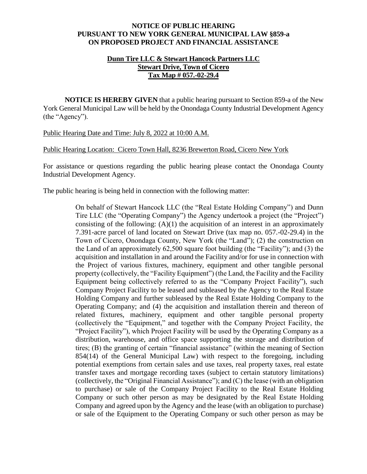## **NOTICE OF PUBLIC HEARING PURSUANT TO NEW YORK GENERAL MUNICIPAL LAW §859-a ON PROPOSED PROJECT AND FINANCIAL ASSISTANCE**

## **Dunn Tire LLC & Stewart Hancock Partners LLC Stewart Drive, Town of Cicero Tax Map # 057.-02-29.4**

**NOTICE IS HEREBY GIVEN** that a public hearing pursuant to Section 859-a of the New York General Municipal Law will be held by the Onondaga County Industrial Development Agency (the "Agency").

Public Hearing Date and Time: July 8, 2022 at 10:00 A.M.

Public Hearing Location: Cicero Town Hall, 8236 Brewerton Road, Cicero New York

For assistance or questions regarding the public hearing please contact the Onondaga County Industrial Development Agency.

The public hearing is being held in connection with the following matter:

On behalf of Stewart Hancock LLC (the "Real Estate Holding Company") and Dunn Tire LLC (the "Operating Company") the Agency undertook a project (the "Project") consisting of the following:  $(A)(1)$  the acquisition of an interest in an approximately 7.391-acre parcel of land located on Stewart Drive (tax map no. 057.-02-29.4) in the Town of Cicero, Onondaga County, New York (the "Land"); (2) the construction on the Land of an approximately 62,500 square foot building (the "Facility"); and (3) the acquisition and installation in and around the Facility and/or for use in connection with the Project of various fixtures, machinery, equipment and other tangible personal property (collectively, the "Facility Equipment") (the Land, the Facility and the Facility Equipment being collectively referred to as the "Company Project Facility"), such Company Project Facility to be leased and subleased by the Agency to the Real Estate Holding Company and further subleased by the Real Estate Holding Company to the Operating Company; and (4) the acquisition and installation therein and thereon of related fixtures, machinery, equipment and other tangible personal property (collectively the "Equipment," and together with the Company Project Facility, the "Project Facility"), which Project Facility will be used by the Operating Company as a distribution, warehouse, and office space supporting the storage and distribution of tires; (B) the granting of certain "financial assistance" (within the meaning of Section 854(14) of the General Municipal Law) with respect to the foregoing, including potential exemptions from certain sales and use taxes, real property taxes, real estate transfer taxes and mortgage recording taxes (subject to certain statutory limitations) (collectively, the "Original Financial Assistance"); and (C) the lease (with an obligation to purchase) or sale of the Company Project Facility to the Real Estate Holding Company or such other person as may be designated by the Real Estate Holding Company and agreed upon by the Agency and the lease (with an obligation to purchase) or sale of the Equipment to the Operating Company or such other person as may be